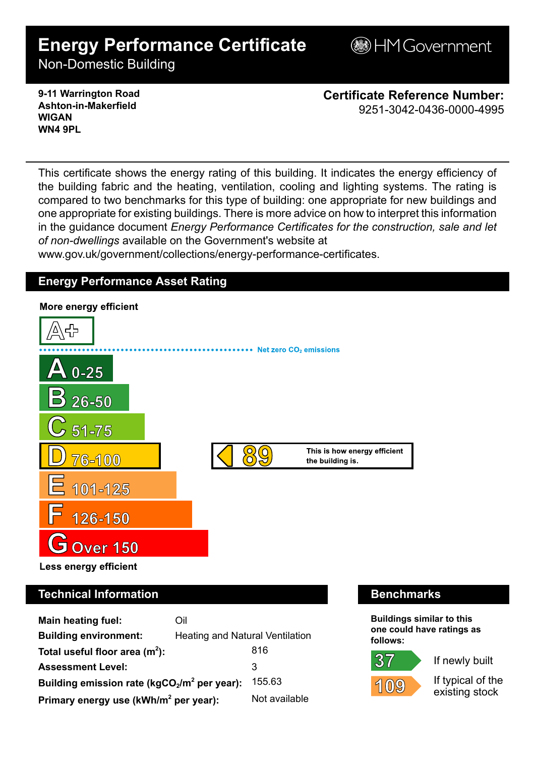# **Energy Performance Certificate**

**BHM Government** 

Non-Domestic Building

#### **9-11 Warrington Road Ashton-in-Makerfield WIGAN WN4 9PL**

**Certificate Reference Number:** 9251-3042-0436-0000-4995

This certificate shows the energy rating of this building. It indicates the energy efficiency of the building fabric and the heating, ventilation, cooling and lighting systems. The rating is compared to two benchmarks for this type of building: one appropriate for new buildings and one appropriate for existing buildings. There is more advice on how to interpret this information in the guidance document *Energy Performance Certificates for the construction, sale and let of non-dwellings* available on the Government's website at

www.gov.uk/government/collections/energy-performance-certificates.

## **Energy Performance Asset Rating**



**Main heating fuel:** Oil **Building environment:** Heating and Natural Ventilation Total useful floor area (m<sup>2</sup>): **):** 816 Assessment Level: 3 **Building emission rate (kgCO2/m<sup>2</sup> per year):** 155.63 **Primary energy use (kWh/m<sup>2</sup> per year):** Not available

**Buildings similar to this one could have ratings as follows:**

If newly built



 $37$ 

If typical of the

existing stock